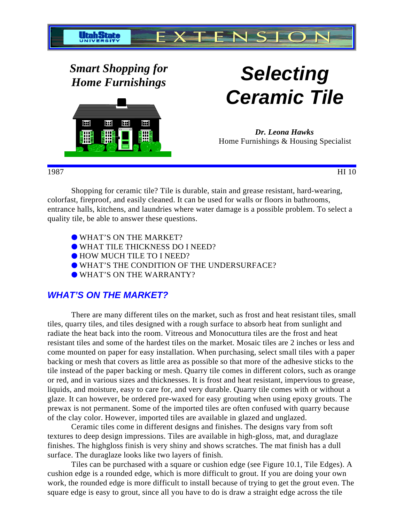

*Smart Shopping for*



# *Home Furnishings* **Selecting Ceramic Tile**

*Dr. Leona Hawks* Home Furnishings & Housing Specialist

1987 HI 10

Shopping for ceramic tile? Tile is durable, stain and grease resistant, hard-wearing, colorfast, fireproof, and easily cleaned. It can be used for walls or floors in bathrooms, entrance halls, kitchens, and laundries where water damage is a possible problem. To select a quality tile, be able to answer these questions.

- WHAT'S ON THE MARKET?
- WHAT TILE THICKNESS DO I NEED?
- $\bullet$  HOW MUCH TILE TO I NEED?
- WHAT'S THE CONDITION OF THE UNDERSURFACE?
- WHAT'S ON THE WARRANTY?

## **WHAT'S ON THE MARKET?**

There are many different tiles on the market, such as frost and heat resistant tiles, small tiles, quarry tiles, and tiles designed with a rough surface to absorb heat from sunlight and radiate the heat back into the room. Vitreous and Monocuttura tiles are the frost and heat resistant tiles and some of the hardest tiles on the market. Mosaic tiles are 2 inches or less and come mounted on paper for easy installation. When purchasing, select small tiles with a paper backing or mesh that covers as little area as possible so that more of the adhesive sticks to the tile instead of the paper backing or mesh. Quarry tile comes in different colors, such as orange or red, and in various sizes and thicknesses. It is frost and heat resistant, impervious to grease, liquids, and moisture, easy to care for, and very durable. Quarry tile comes with or without a glaze. It can however, be ordered pre-waxed for easy grouting when using epoxy grouts. The prewax is not permanent. Some of the imported tiles are often confused with quarry because of the clay color. However, imported tiles are available in glazed and unglazed.

Ceramic tiles come in different designs and finishes. The designs vary from soft textures to deep design impressions. Tiles are available in high-gloss, mat, and duraglaze finishes. The highgloss finish is very shiny and shows scratches. The mat finish has a dull surface. The duraglaze looks like two layers of finish.

Tiles can be purchased with a square or cushion edge (see Figure 10.1, Tile Edges). A cushion edge is a rounded edge, which is more difficult to grout. If you are doing your own work, the rounded edge is more difficult to install because of trying to get the grout even. The square edge is easy to grout, since all you have to do is draw a straight edge across the tile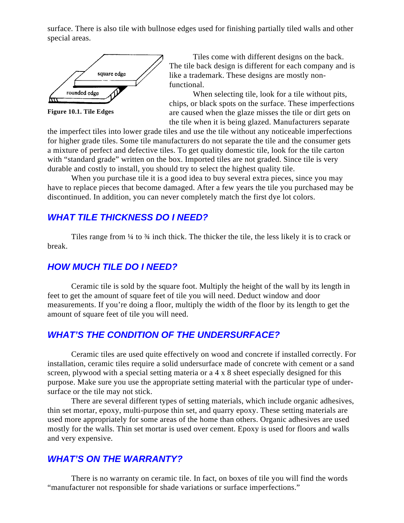surface. There is also tile with bullnose edges used for finishing partially tiled walls and other special areas.



**Figure 10.1. Tile Edges**

Tiles come with different designs on the back. The tile back design is different for each company and is like a trademark. These designs are mostly nonfunctional.

When selecting tile, look for a tile without pits, chips, or black spots on the surface. These imperfections are caused when the glaze misses the tile or dirt gets on the tile when it is being glazed. Manufacturers separate

the imperfect tiles into lower grade tiles and use the tile without any noticeable imperfections for higher grade tiles. Some tile manufacturers do not separate the tile and the consumer gets a mixture of perfect and defective tiles. To get quality domestic tile, look for the tile carton with "standard grade" written on the box. Imported tiles are not graded. Since tile is very durable and costly to install, you should try to select the highest quality tile.

When you purchase tile it is a good idea to buy several extra pieces, since you may have to replace pieces that become damaged. After a few years the tile you purchased may be discontinued. In addition, you can never completely match the first dye lot colors.

### **WHAT TILE THICKNESS DO I NEED?**

Tiles range from  $\frac{1}{4}$  to  $\frac{3}{4}$  inch thick. The thicker the tile, the less likely it is to crack or break.

#### **HOW MUCH TILE DO I NEED?**

Ceramic tile is sold by the square foot. Multiply the height of the wall by its length in feet to get the amount of square feet of tile you will need. Deduct window and door measurements. If you're doing a floor, multiply the width of the floor by its length to get the amount of square feet of tile you will need.

#### **WHAT'S THE CONDITION OF THE UNDERSURFACE?**

Ceramic tiles are used quite effectively on wood and concrete if installed correctly. For installation, ceramic tiles require a solid undersurface made of concrete with cement or a sand screen, plywood with a special setting materia or a 4 x 8 sheet especially designed for this purpose. Make sure you use the appropriate setting material with the particular type of undersurface or the tile may not stick.

There are several different types of setting materials, which include organic adhesives, thin set mortar, epoxy, multi-purpose thin set, and quarry epoxy. These setting materials are used more appropriately for some areas of the home than others. Organic adhesives are used mostly for the walls. Thin set mortar is used over cement. Epoxy is used for floors and walls and very expensive.

#### **WHAT'S ON THE WARRANTY?**

There is no warranty on ceramic tile. In fact, on boxes of tile you will find the words "manufacturer not responsible for shade variations or surface imperfections."